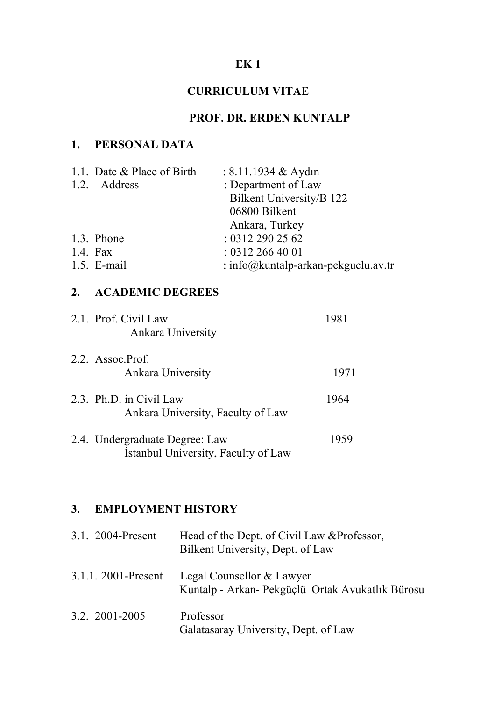# **EK 1**

## **CURRICULUM VITAE**

# **PROF. DR. ERDEN KUNTALP**

## **1. PERSONAL DATA**

| 1.1. Date & Place of Birth | : $8.11.1934 \&$ Aydın                |
|----------------------------|---------------------------------------|
| 1.2. Address               | : Department of Law                   |
|                            | Bilkent University/B 122              |
|                            | 06800 Bilkent                         |
|                            | Ankara, Turkey                        |
| 1.3. Phone                 | : 03122902562                         |
| 1.4. Fax                   | : 03122664001                         |
| $1.5.$ E-mail              | : info@  kuntalp-arkan-pekguclu.av.tr |
|                            |                                       |

## **2. ACADEMIC DEGREES**

| 2.1. Prof. Civil Law<br>Ankara University                             | 1981 |
|-----------------------------------------------------------------------|------|
| 2.2. Assoc.Prof.<br>Ankara University                                 | 1971 |
| 2.3. Ph.D. in Civil Law<br>Ankara University, Faculty of Law          | 1964 |
| 2.4. Undergraduate Degree: Law<br>Istanbul University, Faculty of Law | 1959 |

# **3. EMPLOYMENT HISTORY**

| 3.1. 2004-Present     | Head of the Dept. of Civil Law & Professor,<br>Bilkent University, Dept. of Law |
|-----------------------|---------------------------------------------------------------------------------|
| $3.1.1.2001$ -Present | Legal Counsellor & Lawyer<br>Kuntalp - Arkan - Pekgüçlü Ortak Avukatlık Bürosu  |
| 3.2. 2001-2005        | Professor<br>Galatasaray University, Dept. of Law                               |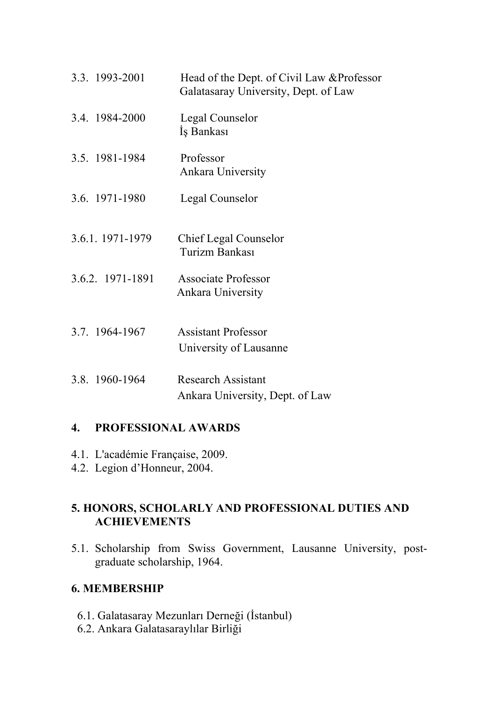| 3.3. 1993-2001   | Head of the Dept. of Civil Law & Professor<br>Galatasaray University, Dept. of Law |
|------------------|------------------------------------------------------------------------------------|
| 3.4. 1984-2000   | Legal Counselor<br>Iş Bankası                                                      |
| 3.5. 1981-1984   | Professor<br>Ankara University                                                     |
| 3.6. 1971-1980   | Legal Counselor                                                                    |
| 3.6.1. 1971-1979 | <b>Chief Legal Counselor</b><br>Turizm Bankası                                     |
| 3.6.2. 1971-1891 | <b>Associate Professor</b><br>Ankara University                                    |
| 3.7. 1964-1967   | <b>Assistant Professor</b><br>University of Lausanne                               |
| 3.8. 1960-1964   | <b>Research Assistant</b><br>Ankara University, Dept. of Law                       |

### **4. PROFESSIONAL AWARDS**

- 4.1. L'académie Française, 2009.
- 4.2. Legion d'Honneur, 2004.

## **5. HONORS, SCHOLARLY AND PROFESSIONAL DUTIES AND ACHIEVEMENTS**

5.1. Scholarship from Swiss Government, Lausanne University, postgraduate scholarship, 1964.

#### **6. MEMBERSHIP**

- 6.1. Galatasaray Mezunları Derneği (İstanbul)
- 6.2. Ankara Galatasaraylılar Birliği